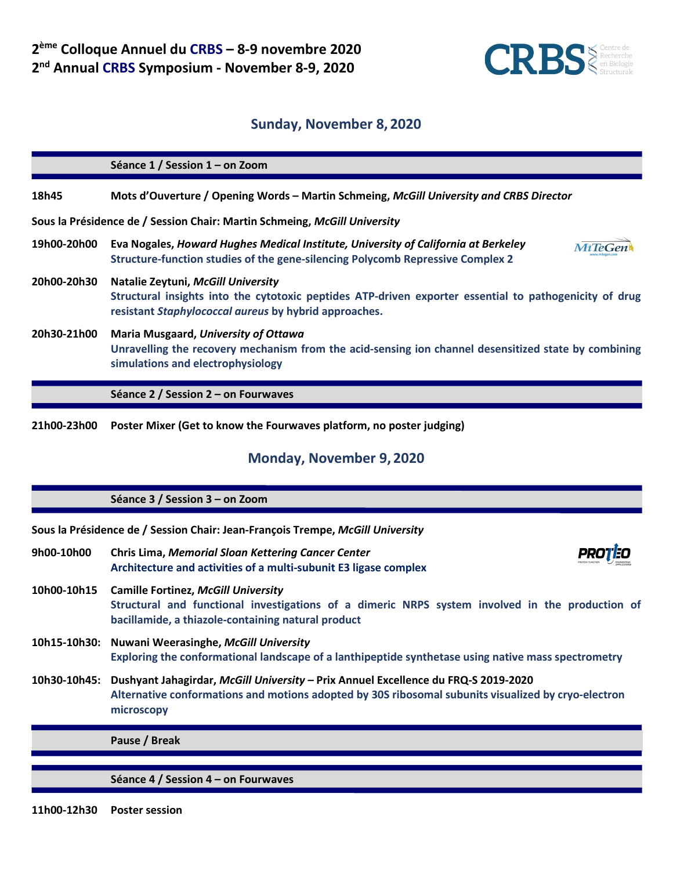

## **Sunday, November 8, 2020**

**Séance 1 / Session 1 – on Zoom 18h45 Mots d'Ouverture / Opening Words – Martin Schmeing,** *McGill University and CRBS Director* **Sous la Présidence de / Session Chair: Martin Schmeing,** *McGill University* **19h00-20h00 Eva Nogales,** *Howard Hughes Medical Institute, University of California at Berkeley* **MiTeGen Structure-function studies of the gene-silencing Polycomb Repressive Complex 2 20h00-20h30 Natalie Zeytuni,** *McGill University* **Structural insights into the cytotoxic peptides ATP-driven exporter essential to pathogenicity of drug resistant** *Staphylococcal aureus* **by hybrid approaches. 20h30-21h00 Maria Musgaard,** *University of Ottawa* **Unravelling the recovery mechanism from the acid-sensing ion channel desensitized state by combining simulations and electrophysiology Séance 2 / Session 2 – on Fourwaves 21h00-23h00 Poster Mixer (Get to know the Fourwaves platform, no poster judging)**

## **Monday, November 9, 2020**

**Séance 3 / Session 3 – on Zoom**

**Sous la Présidence de / Session Chair: Jean-François Trempe,** *McGill University*

- **9h00-10h00 Chris Lima,** *[Memorial Sloan Kettering Cancer Center](https://www.mskcc.org/)* **Architecture and activities of a multi-subunit E3 ligase complex**
- **10h00-10h15 Camille Fortinez,** *McGill University* **Structural and functional investigations of a dimeric NRPS system involved in the production of bacillamide, a thiazole-containing natural product**
- **10h15-10h30: Nuwani Weerasinghe,** *McGill University* **Exploring the conformational landscape of a lanthipeptide synthetase using native mass spectrometry**
- **10h30-10h45: Dushyant Jahagirdar,** *McGill University –* **Prix Annuel Excellence du FRQ-S 2019-2020 Alternative conformations and motions adopted by 30S ribosomal subunits visualized by cryo-electron microscopy**

**Pause / Break**

**Séance 4 / Session 4 – on Fourwaves**

**11h00-12h30 Poster session**